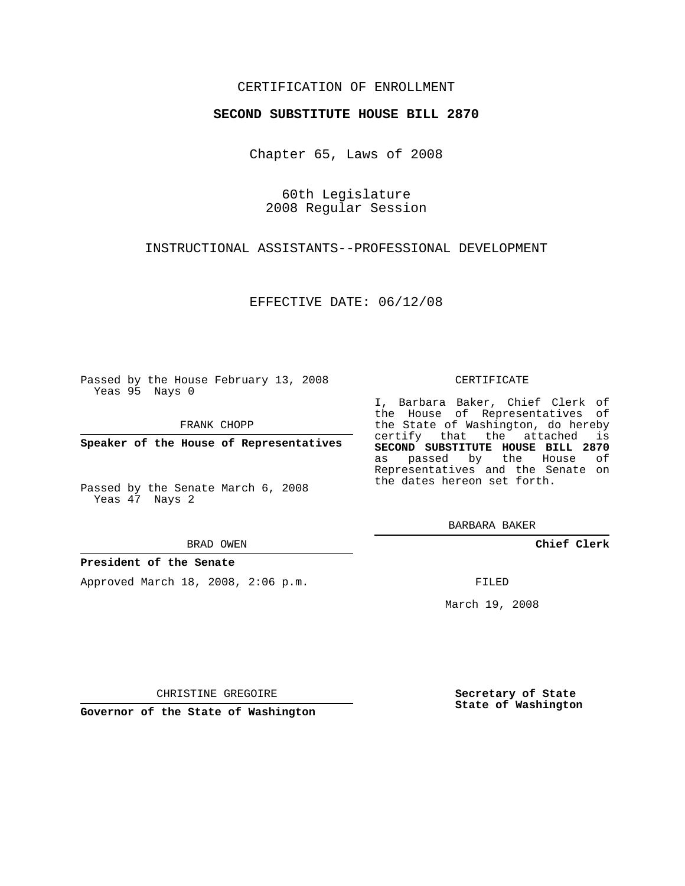## CERTIFICATION OF ENROLLMENT

### **SECOND SUBSTITUTE HOUSE BILL 2870**

Chapter 65, Laws of 2008

60th Legislature 2008 Regular Session

INSTRUCTIONAL ASSISTANTS--PROFESSIONAL DEVELOPMENT

EFFECTIVE DATE: 06/12/08

Passed by the House February 13, 2008 Yeas 95 Nays 0

FRANK CHOPP

**Speaker of the House of Representatives**

Passed by the Senate March 6, 2008 Yeas 47 Nays 2

#### BRAD OWEN

### **President of the Senate**

Approved March 18, 2008, 2:06 p.m.

#### CERTIFICATE

I, Barbara Baker, Chief Clerk of the House of Representatives of the State of Washington, do hereby certify that the attached is **SECOND SUBSTITUTE HOUSE BILL 2870** as passed by the House of Representatives and the Senate on the dates hereon set forth.

BARBARA BAKER

**Chief Clerk**

FILED

March 19, 2008

CHRISTINE GREGOIRE

**Governor of the State of Washington**

**Secretary of State State of Washington**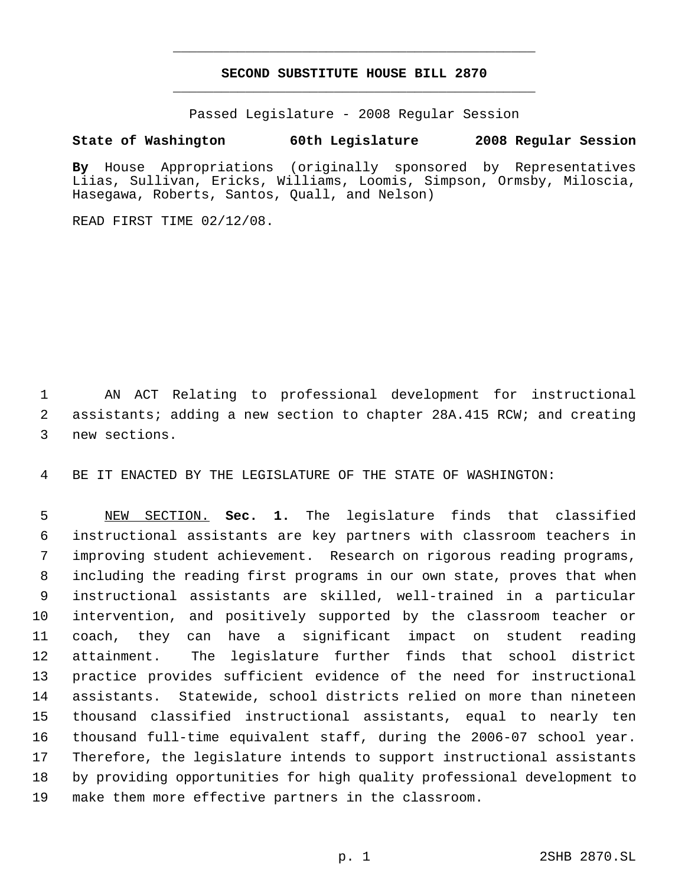# **SECOND SUBSTITUTE HOUSE BILL 2870** \_\_\_\_\_\_\_\_\_\_\_\_\_\_\_\_\_\_\_\_\_\_\_\_\_\_\_\_\_\_\_\_\_\_\_\_\_\_\_\_\_\_\_\_\_

\_\_\_\_\_\_\_\_\_\_\_\_\_\_\_\_\_\_\_\_\_\_\_\_\_\_\_\_\_\_\_\_\_\_\_\_\_\_\_\_\_\_\_\_\_

Passed Legislature - 2008 Regular Session

## **State of Washington 60th Legislature 2008 Regular Session**

**By** House Appropriations (originally sponsored by Representatives Liias, Sullivan, Ericks, Williams, Loomis, Simpson, Ormsby, Miloscia, Hasegawa, Roberts, Santos, Quall, and Nelson)

READ FIRST TIME 02/12/08.

 AN ACT Relating to professional development for instructional assistants; adding a new section to chapter 28A.415 RCW; and creating new sections.

BE IT ENACTED BY THE LEGISLATURE OF THE STATE OF WASHINGTON:

 NEW SECTION. **Sec. 1.** The legislature finds that classified instructional assistants are key partners with classroom teachers in improving student achievement. Research on rigorous reading programs, including the reading first programs in our own state, proves that when instructional assistants are skilled, well-trained in a particular intervention, and positively supported by the classroom teacher or coach, they can have a significant impact on student reading attainment. The legislature further finds that school district practice provides sufficient evidence of the need for instructional assistants. Statewide, school districts relied on more than nineteen thousand classified instructional assistants, equal to nearly ten thousand full-time equivalent staff, during the 2006-07 school year. Therefore, the legislature intends to support instructional assistants by providing opportunities for high quality professional development to make them more effective partners in the classroom.